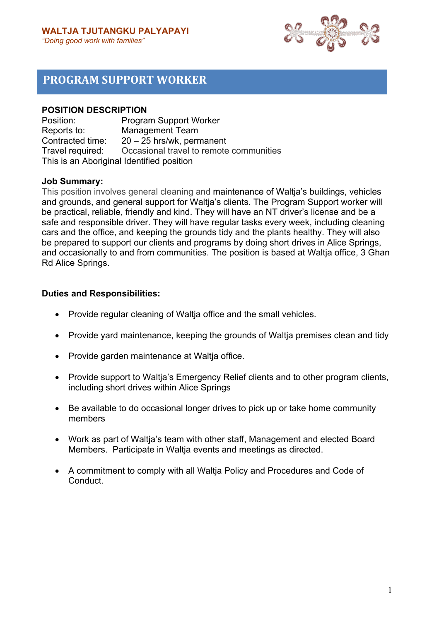

# **PROGRAM SUPPORT WORKER**

### **POSITION DESCRIPTION**

Position: Program Support Worker Reports to: Management Team Contracted time: 20 – 25 hrs/wk, permanent Travel required: Occasional travel to remote communities This is an Aboriginal Identified position

### **Job Summary:**

This position involves general cleaning and maintenance of Waltja's buildings, vehicles and grounds, and general support for Waltja's clients. The Program Support worker will be practical, reliable, friendly and kind. They will have an NT driver's license and be a safe and responsible driver. They will have regular tasks every week, including cleaning cars and the office, and keeping the grounds tidy and the plants healthy. They will also be prepared to support our clients and programs by doing short drives in Alice Springs, and occasionally to and from communities. The position is based at Waltja office, 3 Ghan Rd Alice Springs.

### **Duties and Responsibilities:**

- Provide regular cleaning of Waltja office and the small vehicles.
- Provide yard maintenance, keeping the grounds of Waltja premises clean and tidy
- Provide garden maintenance at Waltia office.
- Provide support to Waltia's Emergency Relief clients and to other program clients, including short drives within Alice Springs
- Be available to do occasional longer drives to pick up or take home community members
- Work as part of Waltja's team with other staff, Management and elected Board Members. Participate in Waltja events and meetings as directed.
- A commitment to comply with all Waltja Policy and Procedures and Code of Conduct.